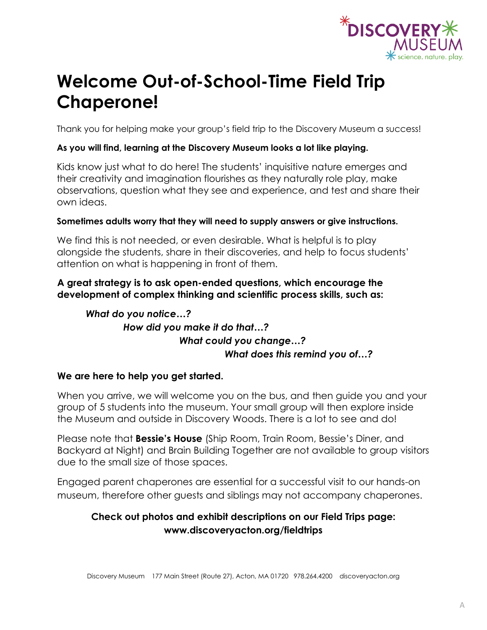

# **Welcome Out-of-School-Time Field Trip Chaperone!**

Thank you for helping make your group's field trip to the Discovery Museum a success!

### **As you will find, learning at the Discovery Museum looks a lot like playing.**

Kids know just what to do here! The students' inquisitive nature emerges and their creativity and imagination flourishes as they naturally role play, make observations, question what they see and experience, and test and share their own ideas.

### **Sometimes adults worry that they will need to supply answers or give instructions.**

We find this is not needed, or even desirable. What is helpful is to play alongside the students, share in their discoveries, and help to focus students' attention on what is happening in front of them.

### **A great strategy is to ask open-ended questions, which encourage the development of complex thinking and scientific process skills, such as:**

## *What do you notice…? How did you make it do that…? What could you change…? What does this remind you of…?*

### **We are here to help you get started.**

When you arrive, we will welcome you on the bus, and then guide you and your group of 5 students into the museum. Your small group will then explore inside the Museum and outside in Discovery Woods. There is a lot to see and do!

Please note that **Bessie's House** (Ship Room, Train Room, Bessie's Diner, and Backyard at Night) and Brain Building Together are not available to group visitors due to the small size of those spaces.

Engaged parent chaperones are essential for a successful visit to our hands-on museum, therefore other guests and siblings may not accompany chaperones.

## **Check out photos and exhibit descriptions on our Field Trips page: www.discoveryacton.org/fieldtrips**